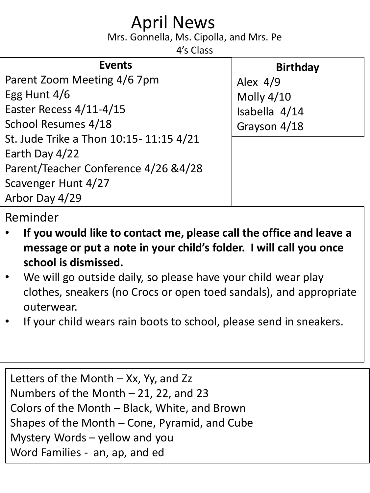## April News

Mrs. Gonnella, Ms. Cipolla, and Mrs. Pe

4's Class

| <b>Events</b>                          | <b>Birthday</b>   |
|----------------------------------------|-------------------|
| Parent Zoom Meeting 4/6 7pm            | Alex $4/9$        |
| Egg Hunt 4/6                           | <b>Molly 4/10</b> |
| Easter Recess 4/11-4/15                | Isabella 4/14     |
| School Resumes 4/18                    | Grayson 4/18      |
| St. Jude Trike a Thon 10:15-11:15 4/21 |                   |
| Earth Day 4/22                         |                   |
| Parent/Teacher Conference 4/26 & 4/28  |                   |
| Scavenger Hunt 4/27                    |                   |
| Arbor Day 4/29                         |                   |

## Reminder

- **If you would like to contact me, please call the office and leave a message or put a note in your child's folder. I will call you once school is dismissed.**
- We will go outside daily, so please have your child wear play clothes, sneakers (no Crocs or open toed sandals), and appropriate outerwear.
- If your child wears rain boots to school, please send in sneakers.

Letters of the Month  $-$  Xx, Yy, and Zz Numbers of the Month  $-$  21, 22, and 23 Colors of the Month – Black, White, and Brown Shapes of the Month – Cone, Pyramid, and Cube Mystery Words – yellow and you Word Families - an, ap, and ed